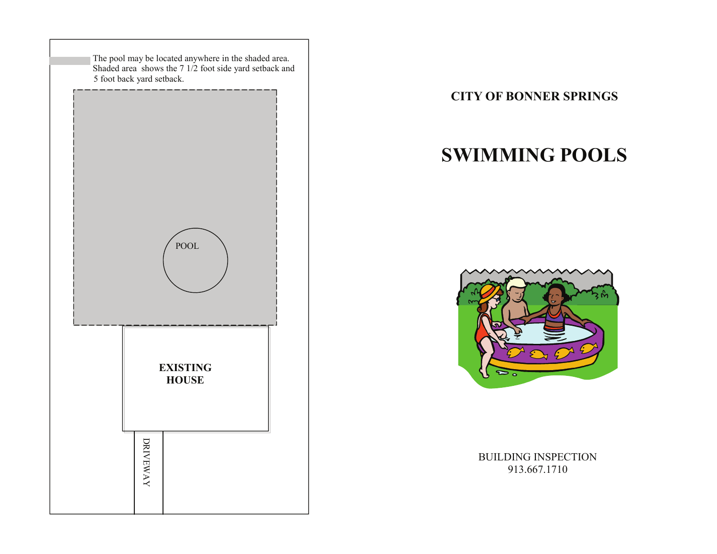

**CITY OF BONNER SPRINGS** 

# **SWIMMING POOLS**



BUILDING INSPECTION 913.667.1710